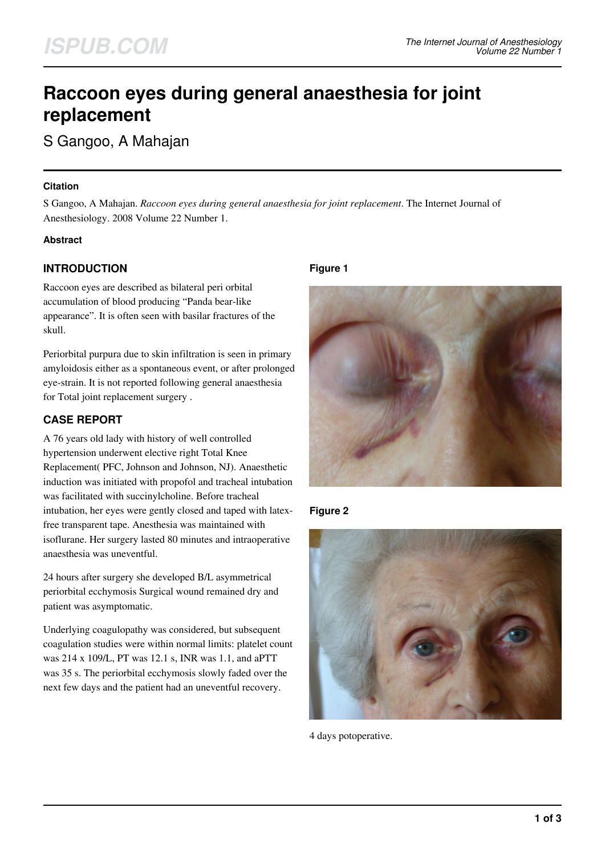# **Raccoon eyes during general anaesthesia for joint replacement**

S Gangoo, A Mahajan

## **Citation**

S Gangoo, A Mahajan. *Raccoon eyes during general anaesthesia for joint replacement*. The Internet Journal of Anesthesiology. 2008 Volume 22 Number 1.

## **Abstract**

# **INTRODUCTION**

Raccoon eyes are described as bilateral peri orbital accumulation of blood producing "Panda bear-like appearance". It is often seen with basilar fractures of the skull.

Periorbital purpura due to skin infiltration is seen in primary amyloidosis either as a spontaneous event, or after prolonged eye-strain. It is not reported following general anaesthesia for Total joint replacement surgery .

# **CASE REPORT**

A 76 years old lady with history of well controlled hypertension underwent elective right Total Knee Replacement( PFC, Johnson and Johnson, NJ). Anaesthetic induction was initiated with propofol and tracheal intubation was facilitated with succinylcholine. Before tracheal intubation, her eyes were gently closed and taped with latexfree transparent tape. Anesthesia was maintained with isoflurane. Her surgery lasted 80 minutes and intraoperative anaesthesia was uneventful.

24 hours after surgery she developed B/L asymmetrical periorbital ecchymosis Surgical wound remained dry and patient was asymptomatic.

Underlying coagulopathy was considered, but subsequent coagulation studies were within normal limits: platelet count was 214 x 109/L, PT was 12.1 s, INR was 1.1, and aPTT was 35 s. The periorbital ecchymosis slowly faded over the next few days and the patient had an uneventful recovery.

## **Figure 1**



**Figure 2**



4 days potoperative.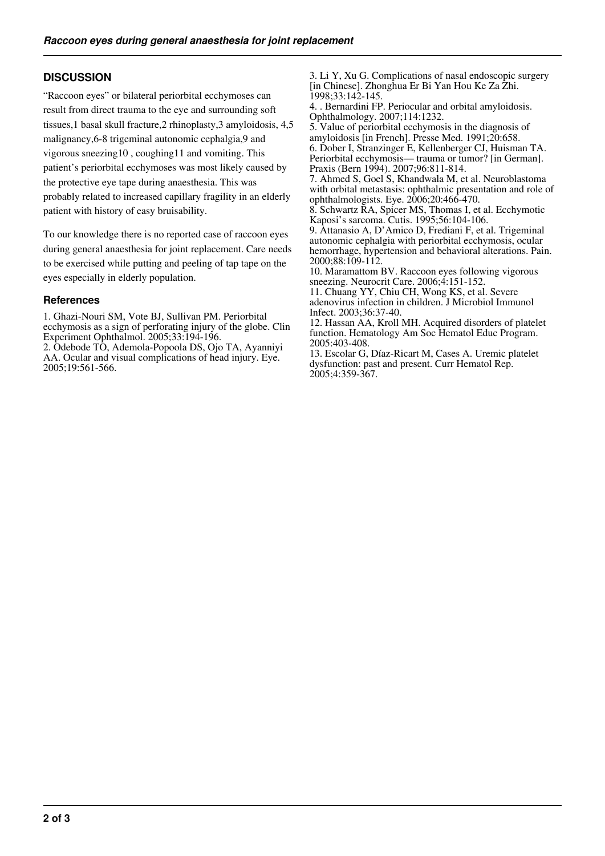# **DISCUSSION**

"Raccoon eyes" or bilateral periorbital ecchymoses can result from direct trauma to the eye and surrounding soft tissues,1 basal skull fracture,2 rhinoplasty,3 amyloidosis, 4,5 malignancy,6-8 trigeminal autonomic cephalgia,9 and vigorous sneezing10 , coughing11 and vomiting. This patient's periorbital ecchymoses was most likely caused by the protective eye tape during anaesthesia. This was probably related to increased capillary fragility in an elderly patient with history of easy bruisability.

To our knowledge there is no reported case of raccoon eyes during general anaesthesia for joint replacement. Care needs to be exercised while putting and peeling of tap tape on the eyes especially in elderly population.

#### **References**

1. Ghazi-Nouri SM, Vote BJ, Sullivan PM. Periorbital ecchymosis as a sign of perforating injury of the globe. Clin Experiment Ophthalmol. 2005;33:194-196.

2. Odebode TO, Ademola-Popoola DS, Ojo TA, Ayanniyi AA. Ocular and visual complications of head injury. Eye. 2005;19:561-566.

3. Li Y, Xu G. Complications of nasal endoscopic surgery [in Chinese]. Zhonghua Er Bi Yan Hou Ke Za Zhi. 1998;33:142-145.

4. . Bernardini FP. Periocular and orbital amyloidosis. Ophthalmology. 2007;114:1232.

5. Value of periorbital ecchymosis in the diagnosis of amyloidosis [in French]. Presse Med. 1991;20:658. 6. Dober I, Stranzinger E, Kellenberger CJ, Huisman TA. Periorbital ecchymosis— trauma or tumor? [in German]. Praxis (Bern 1994). 2007;96:811-814.

7. Ahmed S, Goel S, Khandwala M, et al. Neuroblastoma with orbital metastasis: ophthalmic presentation and role of ophthalmologists. Eye. 2006;20:466-470.

8. Schwartz RA, Spicer MS, Thomas I, et al. Ecchymotic Kaposi's sarcoma. Cutis. 1995;56:104-106.

9. Attanasio A, D'Amico D, Frediani F, et al. Trigeminal autonomic cephalgia with periorbital ecchymosis, ocular hemorrhage, hypertension and behavioral alterations. Pain. 2000;88:109-112.

10. Maramattom BV. Raccoon eyes following vigorous sneezing. Neurocrit Care. 2006;4:151-152.

11. Chuang YY, Chiu CH, Wong KS, et al. Severe adenovirus infection in children. J Microbiol Immunol Infect. 2003;36:37-40.

12. Hassan AA, Kroll MH. Acquired disorders of platelet function. Hematology Am Soc Hematol Educ Program. 2005:403-408.

13. Escolar G, Díaz-Ricart M, Cases A. Uremic platelet dysfunction: past and present. Curr Hematol Rep. 2005;4:359-367.